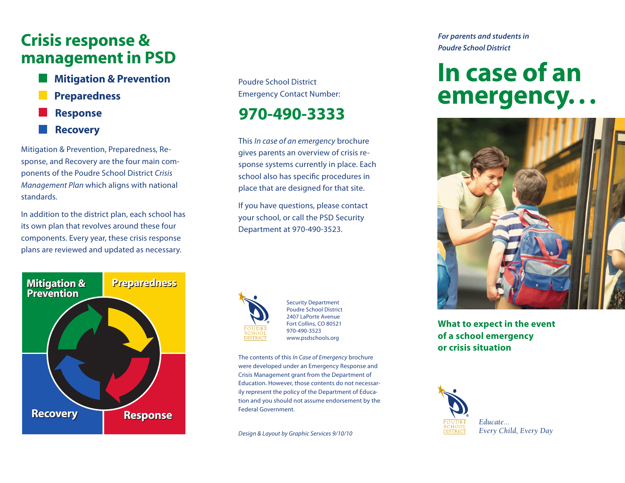# Crisis response & management in PSD

Mitigation & Prevention Preparedness Response Recovery

Mitigation & Prevention, Preparedness, Response, and Recovery are the four main components of the Poudre School District *Crisis Management Plan* which aligns with national standards.

In addition to the district plan, each school has its own plan that revolves around these four components. Every year, these crisis response plans are reviewed and updated as necessary.



Poudre School District Emergency Contact Number:

# 970-490-3333

This *In case of an emergency* brochure gives parents an overview of crisis response systems currently in place. Each school also has specific procedures in place that are designed for that site.

If you have questions, please contact your school, or call the PSD Security Department at 970-490-3523.



Security Department Poudre School District 2407 LaPorte Avenue Fort Collins, CO 80521 970-490-3523 www.psdschools.org

The contents of this *In Case of Emergency* brochure were developed under an Emergency Response and Crisis Management grant from the Department of Education. However, those contents do not necessarily represent the policy of the Department of Education and you should not assume endorsement by the Federal Government.

*Design & Layout by Graphic Services 9/10/10*

*For parents and students in Poudre School District*

# In case of an emergency. . .



### **What to expect in the event of a school emergency or crisis situation**



*Every Child, Every Day*